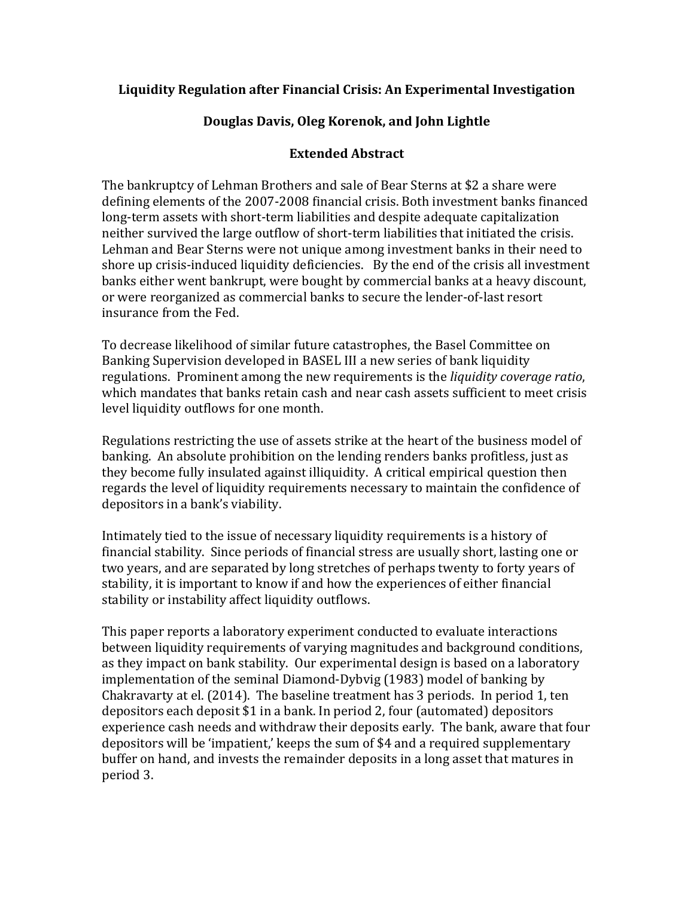## **Liquidity Regulation after Financial Crisis: An Experimental Investigation**

## **Douglas Davis, Oleg Korenok, and John Lightle**

## **Extended Abstract**

The bankruptcy of Lehman Brothers and sale of Bear Sterns at \$2 a share were defining elements of the 2007-2008 financial crisis. Both investment banks financed long-term assets with short-term liabilities and despite adequate capitalization neither survived the large outflow of short-term liabilities that initiated the crisis. Lehman and Bear Sterns were not unique among investment banks in their need to shore up crisis-induced liquidity deficiencies. By the end of the crisis all investment banks either went bankrupt, were bought by commercial banks at a heavy discount, or were reorganized as commercial banks to secure the lender-of-last resort insurance from the Fed.

To decrease likelihood of similar future catastrophes, the Basel Committee on Banking Supervision developed in BASEL III a new series of bank liquidity regulations. Prominent among the new requirements is the *liquidity coverage ratio*, which mandates that banks retain cash and near cash assets sufficient to meet crisis level liquidity outflows for one month.

Regulations restricting the use of assets strike at the heart of the business model of banking. An absolute prohibition on the lending renders banks profitless, just as they become fully insulated against illiquidity. A critical empirical question then regards the level of liquidity requirements necessary to maintain the confidence of depositors in a bank's viability.

Intimately tied to the issue of necessary liquidity requirements is a history of financial stability. Since periods of financial stress are usually short, lasting one or two vears, and are separated by long stretches of perhaps twenty to forty vears of stability, it is important to know if and how the experiences of either financial stability or instability affect liquidity outflows.

This paper reports a laboratory experiment conducted to evaluate interactions between liquidity requirements of varying magnitudes and background conditions, as they impact on bank stability. Our experimental design is based on a laboratory implementation of the seminal Diamond-Dybvig (1983) model of banking by Chakravarty at el.  $(2014)$ . The baseline treatment has 3 periods. In period 1, ten depositors each deposit \$1 in a bank. In period 2, four (automated) depositors experience cash needs and withdraw their deposits early. The bank, aware that four depositors will be 'impatient,' keeps the sum of \$4 and a required supplementary buffer on hand, and invests the remainder deposits in a long asset that matures in period 3.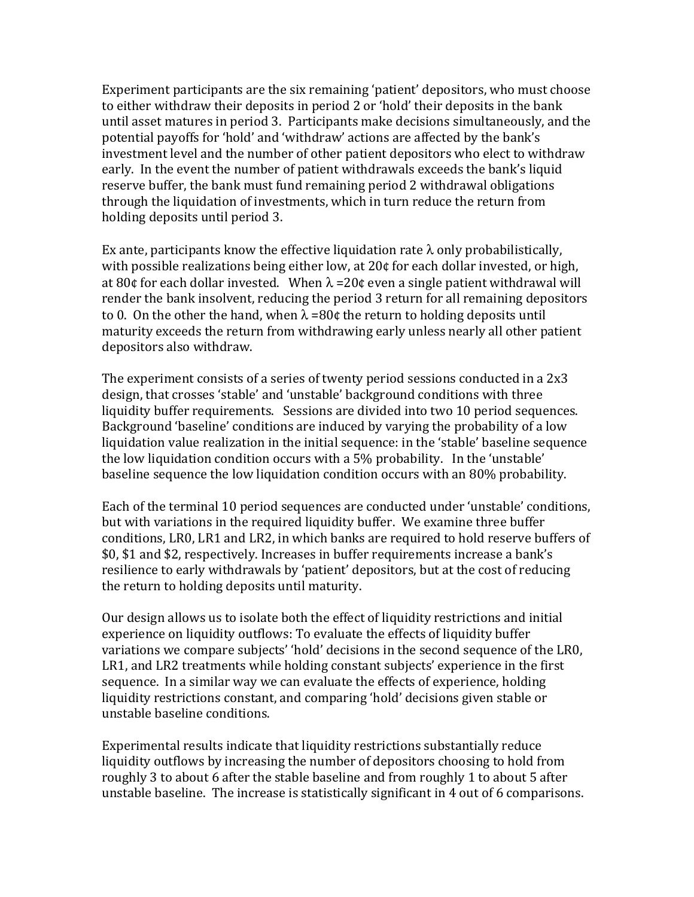Experiment participants are the six remaining 'patient' depositors, who must choose to either withdraw their deposits in period 2 or 'hold' their deposits in the bank until asset matures in period 3. Participants make decisions simultaneously, and the potential payoffs for 'hold' and 'withdraw' actions are affected by the bank's investment level and the number of other patient depositors who elect to withdraw early. In the event the number of patient withdrawals exceeds the bank's liquid reserve buffer, the bank must fund remaining period 2 withdrawal obligations through the liquidation of investments, which in turn reduce the return from holding deposits until period 3.

Ex ante, participants know the effective liquidation rate  $\lambda$  only probabilistically, with possible realizations being either low, at  $20¢$  for each dollar invested, or high, at 80¢ for each dollar invested. When  $\lambda = 20$ ¢ even a single patient withdrawal will render the bank insolvent, reducing the period 3 return for all remaining depositors to 0. On the other the hand, when  $\lambda = 80$ ¢ the return to holding deposits until maturity exceeds the return from withdrawing early unless nearly all other patient depositors also withdraw.

The experiment consists of a series of twenty period sessions conducted in a  $2x3$ design, that crosses 'stable' and 'unstable' background conditions with three liquidity buffer requirements. Sessions are divided into two 10 period sequences. Background 'baseline' conditions are induced by varying the probability of a low liquidation value realization in the initial sequence: in the 'stable' baseline sequence the low liquidation condition occurs with a  $5%$  probability. In the 'unstable' baseline sequence the low liquidation condition occurs with an 80% probability.

Each of the terminal 10 period sequences are conducted under 'unstable' conditions, but with variations in the required liquidity buffer. We examine three buffer conditions, LR0, LR1 and LR2, in which banks are required to hold reserve buffers of \$0, \$1 and \$2, respectively. Increases in buffer requirements increase a bank's resilience to early withdrawals by 'patient' depositors, but at the cost of reducing the return to holding deposits until maturity.

Our design allows us to isolate both the effect of liquidity restrictions and initial experience on liquidity outflows: To evaluate the effects of liquidity buffer variations we compare subjects' 'hold' decisions in the second sequence of the LR0, LR1, and LR2 treatments while holding constant subjects' experience in the first sequence. In a similar way we can evaluate the effects of experience, holding liquidity restrictions constant, and comparing 'hold' decisions given stable or unstable baseline conditions.

Experimental results indicate that liquidity restrictions substantially reduce liquidity outflows by increasing the number of depositors choosing to hold from roughly 3 to about 6 after the stable baseline and from roughly 1 to about 5 after unstable baseline. The increase is statistically significant in  $4$  out of  $6$  comparisons.